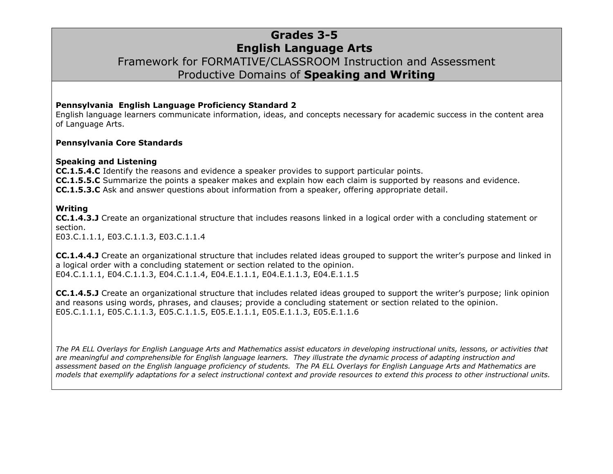### **Grades 3-5 English Language Arts** Framework for FORMATIVE/CLASSROOM Instruction and Assessment Productive Domains of **Speaking and Writing**

#### **Pennsylvania English Language Proficiency Standard 2**

English language learners communicate information, ideas, and concepts necessary for academic success in the content area of Language Arts.

#### **Pennsylvania Core Standards**

#### **Speaking and Listening**

**CC.1.5.4.C** Identify the reasons and evidence a speaker provides to support particular points. **CC.1.5.5.C** Summarize the points a speaker makes and explain how each claim is supported by reasons and evidence. **CC.1.5.3.C** Ask and answer questions about information from a speaker, offering appropriate detail.

#### **Writing**

**CC.1.4.3.J** Create an organizational structure that includes reasons linked in a logical order with a concluding statement or section.

E03.C.1.1.1, E03.C.1.1.3, E03.C.1.1.4

**CC.1.4.4.J** Create an organizational structure that includes related ideas grouped to support the writer's purpose and linked in a logical order with a concluding statement or section related to the opinion. E04.C.1.1.1, E04.C.1.1.3, E04.C.1.1.4, E04.E.1.1.1, E04.E.1.1.3, E04.E.1.1.5

**CC.1.4.5.J** Create an organizational structure that includes related ideas grouped to support the writer's purpose; link opinion and reasons using words, phrases, and clauses; provide a concluding statement or section related to the opinion. E05.C.1.1.1, E05.C.1.1.3, E05.C.1.1.5, E05.E.1.1.1, E05.E.1.1.3, E05.E.1.1.6

*The PA ELL Overlays for English Language Arts and Mathematics assist educators in developing instructional units, lessons, or activities that are meaningful and comprehensible for English language learners. They illustrate the dynamic process of adapting instruction and assessment based on the English language proficiency of students. The PA ELL Overlays for English Language Arts and Mathematics are models that exemplify adaptations for a select instructional context and provide resources to extend this process to other instructional units.*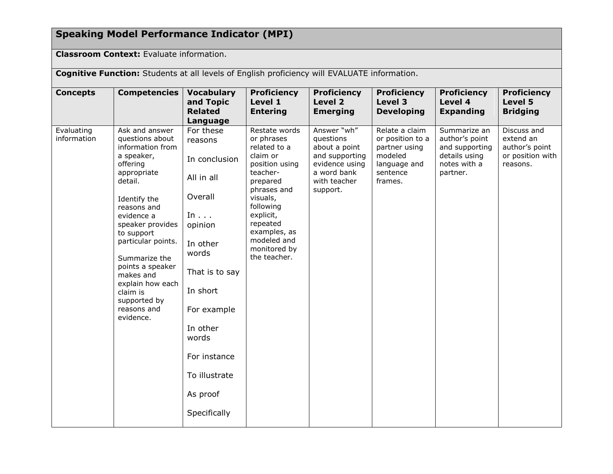# **Speaking Model Performance Indicator (MPI)**

**Classroom Context: Evaluate information.** 

**Cognitive Function:** Students at all levels of English proficiency will EVALUATE information.

| <b>Concepts</b>           | <b>Competencies</b>                                                                                                                                                                                                                                                                                                                          | <b>Vocabulary</b><br>and Topic<br><b>Related</b><br>Language                                                                                                                                                                                 | <b>Proficiency</b><br>Level 1<br><b>Entering</b>                                                                                                                                                                                  | <b>Proficiency</b><br>Level 2<br><b>Emerging</b>                                                                         | <b>Proficiency</b><br>Level 3<br><b>Developing</b>                                                    | <b>Proficiency</b><br>Level 4<br><b>Expanding</b>                                             | <b>Proficiency</b><br>Level 5<br><b>Bridging</b>                           |
|---------------------------|----------------------------------------------------------------------------------------------------------------------------------------------------------------------------------------------------------------------------------------------------------------------------------------------------------------------------------------------|----------------------------------------------------------------------------------------------------------------------------------------------------------------------------------------------------------------------------------------------|-----------------------------------------------------------------------------------------------------------------------------------------------------------------------------------------------------------------------------------|--------------------------------------------------------------------------------------------------------------------------|-------------------------------------------------------------------------------------------------------|-----------------------------------------------------------------------------------------------|----------------------------------------------------------------------------|
| Evaluating<br>information | Ask and answer<br>questions about<br>information from<br>a speaker,<br>offering<br>appropriate<br>detail.<br>Identify the<br>reasons and<br>evidence a<br>speaker provides<br>to support<br>particular points.<br>Summarize the<br>points a speaker<br>makes and<br>explain how each<br>claim is<br>supported by<br>reasons and<br>evidence. | For these<br>reasons<br>In conclusion<br>All in all<br>Overall<br>In $\ldots$<br>opinion<br>In other<br>words<br>That is to say<br>In short<br>For example<br>In other<br>words<br>For instance<br>To illustrate<br>As proof<br>Specifically | Restate words<br>or phrases<br>related to a<br>claim or<br>position using<br>teacher-<br>prepared<br>phrases and<br>visuals,<br>following<br>explicit,<br>repeated<br>examples, as<br>modeled and<br>monitored by<br>the teacher. | Answer "wh"<br>questions<br>about a point<br>and supporting<br>evidence using<br>a word bank<br>with teacher<br>support. | Relate a claim<br>or position to a<br>partner using<br>modeled<br>language and<br>sentence<br>frames. | Summarize an<br>author's point<br>and supporting<br>details using<br>notes with a<br>partner. | Discuss and<br>extend an<br>author's point<br>or position with<br>reasons. |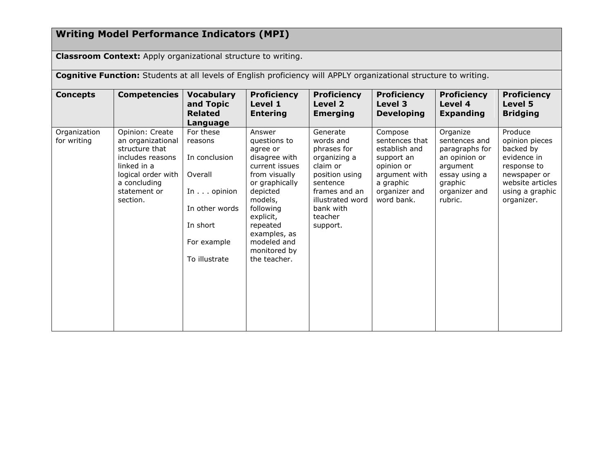# **Writing Model Performance Indicators (MPI)**

**Classroom Context:** Apply organizational structure to writing.

**Cognitive Function:** Students at all levels of English proficiency will APPLY organizational structure to writing.

| <b>Concepts</b>             | <b>Competencies</b>                                                                                                                                         | <b>Vocabulary</b><br>and Topic<br><b>Related</b><br>Language                                                                          | <b>Proficiency</b><br>Level 1<br><b>Entering</b>                                                                                                                                                                                     | <b>Proficiency</b><br>Level 2<br><b>Emerging</b>                                                                                                                        | <b>Proficiency</b><br>Level 3<br><b>Developing</b>                                                                                  | <b>Proficiency</b><br>Level 4<br><b>Expanding</b>                                                                                | <b>Proficiency</b><br>Level 5<br><b>Bridging</b>                                                                                          |
|-----------------------------|-------------------------------------------------------------------------------------------------------------------------------------------------------------|---------------------------------------------------------------------------------------------------------------------------------------|--------------------------------------------------------------------------------------------------------------------------------------------------------------------------------------------------------------------------------------|-------------------------------------------------------------------------------------------------------------------------------------------------------------------------|-------------------------------------------------------------------------------------------------------------------------------------|----------------------------------------------------------------------------------------------------------------------------------|-------------------------------------------------------------------------------------------------------------------------------------------|
| Organization<br>for writing | Opinion: Create<br>an organizational<br>structure that<br>includes reasons<br>linked in a<br>logical order with<br>a concluding<br>statement or<br>section. | For these<br>reasons<br>In conclusion<br>Overall<br>In $\ldots$ opinion<br>In other words<br>In short<br>For example<br>To illustrate | Answer<br>questions to<br>agree or<br>disagree with<br>current issues<br>from visually<br>or graphically<br>depicted<br>models,<br>following<br>explicit,<br>repeated<br>examples, as<br>modeled and<br>monitored by<br>the teacher. | Generate<br>words and<br>phrases for<br>organizing a<br>claim or<br>position using<br>sentence<br>frames and an<br>illustrated word<br>bank with<br>teacher<br>support. | Compose<br>sentences that<br>establish and<br>support an<br>opinion or<br>argument with<br>a graphic<br>organizer and<br>word bank. | Organize<br>sentences and<br>paragraphs for<br>an opinion or<br>argument<br>essay using a<br>graphic<br>organizer and<br>rubric. | Produce<br>opinion pieces<br>backed by<br>evidence in<br>response to<br>newspaper or<br>website articles<br>using a graphic<br>organizer. |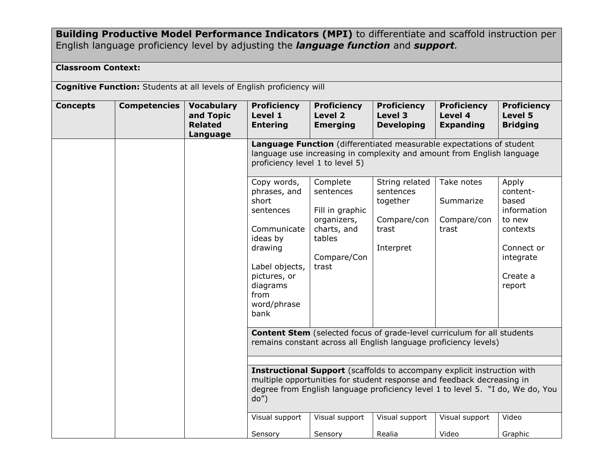**Building Productive Model Performance Indicators (MPI)** to differentiate and scaffold instruction per English language proficiency level by adjusting the *language function* and *support.*

### **Classroom Context:**

**Cognitive Function:** Students at all levels of English proficiency will

| <b>Concepts</b><br><b>Competencies</b> | <b>Vocabulary</b>                       | <b>Proficiency</b>                                                                                                                                                                                                                                | <b>Proficiency</b>                                                                                       | <b>Proficiency</b>                                                           | <b>Proficiency</b>                              | <b>Proficiency</b>                                                                                               |  |  |
|----------------------------------------|-----------------------------------------|---------------------------------------------------------------------------------------------------------------------------------------------------------------------------------------------------------------------------------------------------|----------------------------------------------------------------------------------------------------------|------------------------------------------------------------------------------|-------------------------------------------------|------------------------------------------------------------------------------------------------------------------|--|--|
|                                        | and Topic<br><b>Related</b><br>Language | Level 1<br><b>Entering</b>                                                                                                                                                                                                                        | Level 2<br><b>Emerging</b>                                                                               | Level 3<br><b>Developing</b>                                                 | Level 4<br><b>Expanding</b>                     | <b>Level 5</b><br><b>Bridging</b>                                                                                |  |  |
|                                        |                                         | Language Function (differentiated measurable expectations of student<br>language use increasing in complexity and amount from English language<br>proficiency level 1 to level 5)                                                                 |                                                                                                          |                                                                              |                                                 |                                                                                                                  |  |  |
|                                        |                                         | Copy words,<br>phrases, and<br>short<br>sentences<br>Communicate<br>ideas by<br>drawing<br>Label objects,<br>pictures, or<br>diagrams<br>from<br>word/phrase<br>bank                                                                              | Complete<br>sentences<br>Fill in graphic<br>organizers,<br>charts, and<br>tables<br>Compare/Con<br>trast | String related<br>sentences<br>together<br>Compare/con<br>trast<br>Interpret | Take notes<br>Summarize<br>Compare/con<br>trast | Apply<br>content-<br>based<br>information<br>to new<br>contexts<br>Connect or<br>integrate<br>Create a<br>report |  |  |
|                                        |                                         | <b>Content Stem</b> (selected focus of grade-level curriculum for all students<br>remains constant across all English language proficiency levels)                                                                                                |                                                                                                          |                                                                              |                                                 |                                                                                                                  |  |  |
|                                        |                                         | <b>Instructional Support</b> (scaffolds to accompany explicit instruction with<br>multiple opportunities for student response and feedback decreasing in<br>degree from English language proficiency level 1 to level 5. "I do, We do, You<br>do' |                                                                                                          |                                                                              |                                                 |                                                                                                                  |  |  |
|                                        |                                         | Visual support                                                                                                                                                                                                                                    | Visual support                                                                                           | Visual support                                                               | Visual support                                  | Video                                                                                                            |  |  |